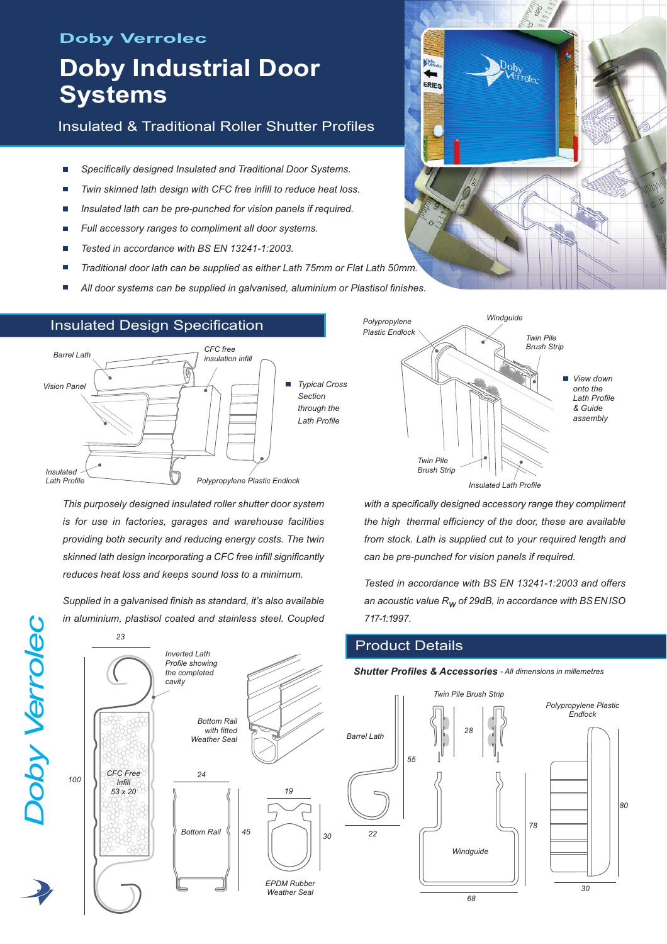# **Doby Verrolec**

# **Doby Industrial Door Systems**

# Insulated & Traditional Roller Shutter Profiles

- *Specifically designed Insulated and Traditional Door Systems.*
- *Twin skinned lath design with CFC free infill to reduce heat loss.*
- *Insulated lath can be pre-punched for vision panels if required.* г
- *Full accessory ranges to compliment all door systems.* П
- *Tested in accordance with BS EN 13241-1:2003.*
- *Traditional door lath can be supplied as either Lath 75mm or Flat Lath 50mm.*
- *All door systems can be supplied in galvanised, aluminium or Plastisol finishes.*



*This purposely designed insulated roller shutter door system is for use in factories, garages and warehouse facilities providing both security and reducing energy costs. The twin skinned lath design incorporating a CFC free infill significantly reduces heat loss and keeps sound loss to a minimum.*

*Supplied in a galvanised finish as standard, it's also available in aluminium, plastisol coated and stainless steel. Coupled*



*D*

*oby*

*Verrole*

<u>ب</u>

# Insulated Design Specification

# iop' **Frolee** ERIES



*with a specifically designed accessory range they compliment the high thermal efficiency of the door, these are available from stock. Lath is supplied cut to your required length and can be pre-punched for vision panels if required.*

*Tested in accordance with BS EN 13241-1:2003 and offers an acoustic value Rw of 29dB, in accordance with BSENISO 717-1:1997.*

# Product Details



#### *Shutter Profiles & Accessories - All dimensions in millemetres*